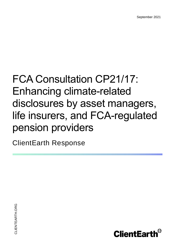# FCA Consultation CP21/17: Enhancing climate-related disclosures by asset managers, life insurers, and FCA-regulated pension providers

ClientEarth Response

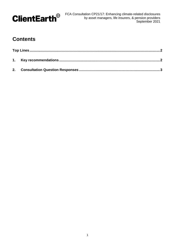

## **Contents**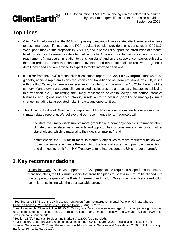

## <span id="page-2-0"></span>**Top Lines**

- ClientEarth welcomes that the FCA is proposing to expand climate-related disclosure requirements to asset managers, life insurers and FCA-regulated pension providers in its consultation CP21/17. We support many of the proposals in CP21/17, and in particular support the introduction of productlevel disclosures. However, as detailed below, the FCA needs to go further on certain disclosure requirements (in particular in relation to transition plans) and on the scope of companies subject to them, in order to ensure that consumers, investors and other stakeholders receive the granular detail they need and are entitled to expect to make informed decisions.
- It is clear from the IPCC's recent sixth assessment report (the "**2021 IPCC Report**") that we must, globally, achieve rapid emissions reductions and transition to net-zero emissions by 2050, in line with the IPCC's very low emissions scenario,<sup>1</sup> in order to limit warming to 1.5°C by the end of the century. Mandatory, transparent climate-related disclosures are a necessary first step to achieving this transition by: (i) facilitating the timely reallocation of capital away from carbon-intensive business; and (ii) ensuring accountability in relation to harnessing (or failing to manage) climate change, including its associated risks, impacts and opportunities.
- This document sets out ClientEarth's response to CP21/17 and our recommendations on improving climate-related reporting. We believe that our recommendations, if adopted, will:
	- $\circ$  facilitate the timely disclosure of more granular and company-specific information about climate change-related risks, impacts and opportunities for consumers, investors and other stakeholders, which is material to their decision-making<sup>2</sup>; and
	- o better enable the FCA to: (i) meet its statutory objectives to make markets function well, protect consumers, enhance the integrity of the financial system and promote competition;<sup>3</sup> and (ii) meet its remit from HM Treasury to take into account the UK's net-zero target<sup>4</sup>.

### <span id="page-2-1"></span>**1. Key recommendations**

1. Transition plans: While we support the FCA's proposals to require in-scope firms to disclose transition plans, the FCA must specify that transition plans must **at a minimum** be aligned with the temperature goals of the Paris Agreement and the UK Government's emissions reduction commitments, in line with the best available science.

 $\overline{a}$ <sup>1</sup> See Scenario SSP1-1 of the sixth assessment report from the Intergovernmental Panel on Climate Change, ['Climate Change 2021: The Physical Science Basis'](https://www.ipcc.ch/report/ar6/wg1/) (9 August 2021).

<sup>2</sup> See, for example, Climate Action 100+'s [2020 Progress Report](https://www.climateaction100.org/wp-content/uploads/2020/12/CA100-Progress-Report.pdf) on investor-engaged focus companies' growing net zero commitments, related **IIGCC** press release, and most recently the [Climate Action 100+](https://www.climateaction100.org/progress/net-zero-company-benchmark/) Net-Zero Company [Benchmark.](https://www.climateaction100.org/progress/net-zero-company-benchmark/)

<sup>3</sup> Section 1B(2), Financial Services and Markets Act 2000 (as amended).

<sup>4</sup> HM Treasury, [Letter providing recommendations for the FCA](https://www.gov.uk/government/publications/recommendations-for-the-financial-conduct-authority-march-2021) (24 March 2021). This is also reflected in the Financial Services Act 2021 and the new section 143G Financial Services and Markets Act 2000 (FSMA) (coming into force from 1 January 2022).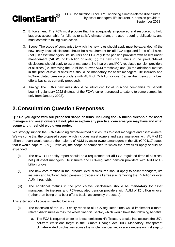

- 2. Enforcement: The FCA must procure that it is adequately empowered and resourced to hold laggards accountable for failures to satisfy climate change-related reporting obligations, and must commit to taking such action.
- 3. Scope: The scope of companies to which the new rules should apply must be expanded: (i) the new 'entity-level' disclosures should be a requirement for **all** FCA-regulated firms of all sizes (not just asset managers, life insurers and FCA-regulated pension providers with assets under management ("AUM") of £5 billion or over); (ii) the new core metrics in the 'product-level' disclosures should apply to asset managers, life insurers and FCA-regulated pension providers of all sizes (i.e. removing the £5 billion or over AUM threshold); and (iii) the additional metrics in the product-level disclosures should be mandatory for asset managers, life insurers and FCA-regulated pension providers with AUM of £5 billion or over (rather than being on a best efforts basis, as currently proposed).
- 4. Timing: The FCA's new rules should be introduced for all in-scope companies for periods beginning January 2022 (instead of the FCA's current proposal to extend to some companies only from January 2023).

## <span id="page-3-0"></span>**2. Consultation Question Responses**

**Q1: Do you agree with our proposed scope of firms, including the £5 billion threshold for asset managers and asset owners? If not, please explain any practical concerns you may have and what scope and threshold would you prefer.**

We strongly support the FCA extending climate-related disclosures to asset managers and asset owners. We welcome that the proposed scope (which includes asset owners and asset managers with AUM of £5 billion or over) would capture the majority of AUM by asset owners/managers in the UK (CP21/17 states that it would capture 98%). However, the scope of companies to which the new rules apply should be expanded:

- (i) The new TCFD entity report should be a requirement for **all** FCA regulated firms of all sizes; not just asset managers, life insurers and FCA-regulated pension providers with AUM of £5 billion or over.
- (ii) The new core metrics in the 'product-level' disclosures should apply to asset managers, life insurers and FCA-regulated pension providers of all sizes (i.e. removing the £5 billion or over AUM threshold).
- (iii) The additional metrics in the product-level disclosures should be **mandatory** for asset managers, life insurers and FCA-regulated pension providers with AUM of £5 billion or over (rather than being on a best efforts basis, as currently proposed).

This extension of scope is needed because:

- (i) The extension of the TCFD entity report to all FCA-regulated firms would implement climaterelated disclosures across the whole financial sector, which would have the following benefits:
	- a. The FCA is required under its latest remit from HM Treasury to take into account the UK's net-zero emissions target in the Climate Change Act 2008. Mandatory, transparent climate-related disclosures across the whole financial sector are a necessary first step to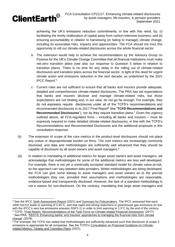

achieving the UK's emissions reduction commitments, in line with this remit, by: (i) facilitating the timely reallocation of capital away from carbon-intensive business; and (ii) ensuring accountability in relation to harnessing (or failing to manage) climate change, including its associated risks, impacts and opportunities. The FCA should not miss this opportunity to roll out climate-related disclosures across the whole financial sector.

- b. The extension would help to achieve the recommendation by the Advisory Group on Finance for the UK's Climate Change Committee that all financial institutions must make net-zero transition plans (see also our response to Question 5 below in relation to transition plans). There is no time for any delay in the rolling out of climate-related disclosures and transition plans across the financial sector, in light of the need for urgent climate action and emissions reduction in the next decade, as underlined by the 2021 IPCC Report. 5
- c. Current rules are not sufficient to ensure that all banks and insurers provide adequate, detailed and comprehensive climate-related disclosures. The PRA has set expectations that banks and insurers disclose and manage climate-related risks, but those expectations are not binding and, in our view, do not go far enough. For example, they do not expressly require disclosures under all of the TCFD's recommendations and recommended disclosures in its 2017 Final Report<sup>6</sup> (the "TCFD Recommendations and **Recommended Disclosures**"), nor do they require transition plans.<sup>7</sup> Given the urgency outlined above, all FCA-regulated firms – including all banks and insurers – must be expressly required to make detailed climate-related disclosures, in line with the TCFD's Recommendations and Recommended Disclosures and the additional proposals in this consultation response.
- (ii) The extension of scope of the core metrics in the product-level disclosures should not place any undue or disproportionate burden on firms. The core metrics are increasingly commonly disclosed, and data and methodologies are sufficiently well advanced that they should be capable of disclosure by all asset owners and asset managers.<sup>8</sup>
- (iii) In relation to mandating of additional metrics for larger asset owners and asset managers, we acknowledge that methodologies for some of the additional metrics are less well developed. For example, there is not yet a universally accepted standard model for climate value-at-risk, so the approach can vary between data providers. Whilst methodologies are being developed, the FCA can give some leeway to asset managers and asset owners as to the precise methodologies they use, provided their assumptions and methodologies are reasonable, evidence-based and transparently disclosed. However, the lack of a standard methodology is not a reason for non-disclosure. On the contrary, mandating that large asset managers and

 $\overline{a}$ <sup>5</sup> See the IPCC [Sixth Assessment Report](https://www.ipcc.ch/report/ar6/wg1/downloads/report/IPCC_AR6_WGI_Full_Report.pdf) (2021) and [Summary for Policymakers.](https://www.ipcc.ch/report/ar6/wg1/downloads/report/IPCC_AR6_WGI_SPM.pdf) The IPCC assessed that each 1000 GtCO2 leads to warming of 0.45°C, and that rapid and strong reductions in greenhouse gas emissions (in line with the IPCC's very low emissions scenario SSP1-1) in order to limit warming to 1.5°C by the end of the century. <sup>6</sup> TCFD, ['Final Report: Recommendations of the Task Force on Climate-related Financial Disclosures'](https://assets.bbhub.io/company/sites/60/2020/10/FINAL-2017-TCFD-Report-11052018.pdf) (2017). <sup>7</sup> See PRA, 'SS3/19: Enhancing banks' and insurers' approaches to managing the financial risks from climate [change'](https://www.bankofengland.co.uk/-/media/boe/files/prudential-regulation/supervisory-statement/2019/ss319) (2019).

<sup>&</sup>lt;sup>8</sup> For example, the TCFD has stated that methodologies are sufficiently advanced such that disclosure of scope 3 emissions is appropriate for all companies. See the TCFD's [Consultation on Proposed Guidance on Climate](https://assets.bbhub.io/company/sites/60/2021/05/2021-TCFD-Metrics_Targets_Guidance.pdf)[related Metrics, Targets and Transition Plans](https://assets.bbhub.io/company/sites/60/2021/05/2021-TCFD-Metrics_Targets_Guidance.pdf) (2021).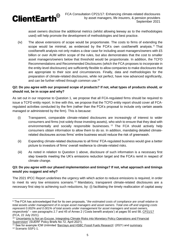

asset owners disclose the additional metrics (whilst allowing leeway as to the methodologies used) will help promote the development of methodologies and best practice.

(iv) The above extensions of scope would be proportionate. The costs to firms of extending the scope would be minimal, as evidenced by the FCA's own cost/benefit analysis. <sup>9</sup> That cost/benefit analysis not only makes a clear case for including asset managers/owners with £5 billion or over AUM within scope of the rules, but also demonstrates that the cost to smaller asset managers/owners below that threshold would be proportionate. In addition, the TCFD Recommendations and Recommended Disclosures (which the FCA proposes to incorporate in the entity-level disclosures) are sufficiently flexible to allow companies to make disclosures that are appropriate to their size and circumstances. Finally, data and methodologies for the preparation of climate-related disclosures, while not perfect, have now advanced significantly, and can be further refined through common use.<sup>10</sup>

#### **Q2: Do you agree with our proposed scope of products? If not, what types of products should, or should not, be in scope and why?**

As set out in our response to Question 1, we propose that all FCA-regulated firms should be required to issue a TCFD entity report. In line with this, we propose that the TCFD entity report should cover all FCAregulated activities conducted by the firm (rather than the FCA's proposal to include only certain assets managed or administered by the firm). This is because:

- (i) Transparent, comparable climate-related disclosures are increasingly of interest to wider consumers and firms (not solely those investing assets), who wish to ensure that they deal with environmentally and socially responsible businesses.<sup>11</sup> The FCA should actively help consumers obtain information to allow them to do so. In addition, mandating detailed climaterelated disclosures across firms' entire business would reduce the risk of greenwash.
- (ii) Expanding climate-related disclosures to all firms' FCA-regulated business would give a better picture to investors of firms' overall resilience to climate-related risks.
- (iii) As noted in relation to Question 1 above, disclosure of such information is a necessary first step towards meeting the UK's emissions reduction target and the FCA's remit in respect of climate change.

#### **Q3: Do you agree with our phased implementation and timings? If not, what approach and timings would you suggest and why?**

The 2021 IPCC Report underlines the urgency with which action to reduce emissions is required, in order to meet its very low emissions scenario.<sup>12</sup> Mandatory, transparent climate-related disclosures are a necessary first step to achieving such reductions, by: (i) facilitating the timely reallocation of capital away

 $\overline{a}$ <sup>9</sup> The FCA has acknowledged that for its own proposals, "*the estimated costs of compliance are small relative to total assets under management of in-scope asset managers and asset owners. Total one-off and ongoing costs represent 0.002% and 0.001% of total assets under management for asset managers and asset owners, respectively*" – see paragraphs 2.7 and 45 of Annex 2 ('Costs benefit analysis') at pages 50 and 58, [CP21/17](https://www.fca.org.uk/publication/consultation/cp21-17.pdf) (FCA, 22 July 2021).

<sup>&</sup>lt;sup>10</sup> 'Uncertainty Is Not an Excuse. Integrating Climate Risks into Monetary Policy Operations and Financial [Supervision'](https://www.suerf.org/docx/f_2047faa23a3afb0518e063b768386764_22935_suerf.pdf) (SUERF Policy Briefs No 72, April 2021).

<sup>&</sup>lt;sup>11</sup> See for example ICM Unlimited ['Barclays and HSBC Fossil Fuels Research'](https://www.marketforces.org.au/wp-content/uploads/2021/01/Market-Forces-Barclays-and-HSBC-Fossil-Fuels-Research-Report.pdf) (2021) and [summary.](https://www.icmunlimited.com/our-work/exploring-customers-attitudes-to-banks-funding-fossil-fuels/) <sup>12</sup> Scenario SSP1-1.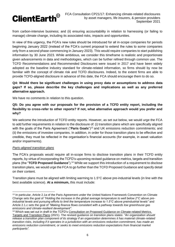

from carbon-intensive business; and (ii) ensuring accountability in relation to harnessing (or failing to manage) climate change, including its associated risks, impacts and opportunities.

In view of this urgency, the FCA's new rules should be introduced for all in-scope companies for periods beginning January 2022 (instead of the FCA's current proposal to extend the rules to some companies only from a second phase commencing in January 2023). This would require companies to start publishing information by 30 June 2023. While ambitious, we consider this timeframe is realistic and proportionate given advancements in data and methodologies, which can be further refined through common use. The TCFD Recommendations and Recommended Disclosures were issued in 2017 and have been widely adopted as the baseline industry standard for climate-related information, so firms should by now be familiar with the concept of climate risk and TCFD disclosures. Indeed, to the extent firms are able to provide TCFD-aligned disclosure in advance of this date, the FCA should encourage them to do so.

#### **Q4: Would there be significant challenges in using proxy data or assumptions to address data gaps? If so, please describe the key challenges and implications as well as any preferred alternative approach.**

We have no comments in relation to this question.

#### **Q5: Do you agree with our proposals for the provision of a TCFD entity report, including the flexibility to cross-refer to other reports? If not, what alternative approach would you prefer and why?**

We welcome the introduction of TCFD entity reports. However, as set out below, we would urge the FCA to add further requirements in relation to the disclosure of: (i) transition plans which are specifically aligned with the goals of the Paris Agreement ("Paris Goals")<sup>13</sup> and UK emissions reduction commitments; and (ii) the emissions of investee companies. In addition, in order for those transition plans to be effective and credible, they must be reflected in the organisation's financial accounts (for example, in asset valuation and/or impairments).

#### *Paris-aligned transition plans*

The FCA's proposals would require all in-scope firms to disclose transition plans in their TCFD entity reports, by virtue of incorporating the TCFD's upcoming revised guidance on metrics, targets and transition plans (the "**TCFD Proposed Guidance**").<sup>14</sup> While we support this introduction of a requirement to disclose transition plans, we would urge the FCA to go further than the TCFD Proposed Guidance and specify detail on their content.

Transition plans must be aligned with limiting warming to 1.5°C above pre-industrial levels (in line with the best available science). **At a minimum,** this must include:

 <sup>13</sup> In particular, Article 2.1a of the Paris Agreement under the United Nations Framework Convention on Climate Change sets the goal of *"Holding the increase in the global average temperature to well below 2°C above preindustrial levels and pursuing efforts to limit the temperature increase to 1.5°C above preindustrial levels"* and Article 2.1.c sets the goal of *"Making finance flows consistent with a pathway towards low greenhouse gas emissions and climate-resilient development"*.

<sup>14</sup> Which was set out in draft in the TCFD's [Consultation on Proposed Guidance on Climate-related Metrics,](https://assets.bbhub.io/company/sites/60/2021/05/2021-TCFD-Metrics_Targets_Guidance.pdf)  [Targets and Transition Plans](https://assets.bbhub.io/company/sites/60/2021/05/2021-TCFD-Metrics_Targets_Guidance.pdf) (2021). The revised guidance on transition plans states: *"An organization should release a transition plan component of its strategy if an organization determines it has material climate-related transition risks, including if it operates in a jurisdiction with an emissions reduction commitment, has made an emissions reduction commitment, or seeks to meet emissions reduction expectations from financial market participants"*.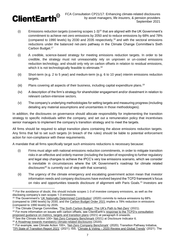

- (i) Emissions reduction targets (covering scopes  $1-3$ )<sup>15</sup> that are aligned with the UK Government's commitment to achieve net-zero emissions by 2050 and to reduce emissions by 68% and 78% (compared to 1990 levels) by 2030 and 2035 respectively, <sup>16</sup> and with the sectoral emissions reductions under the balanced net-zero pathway in the Climate Change Committee's Sixth Carbon Budget.<sup>17</sup>
- (i) A credible, science-based strategy for meeting emissions reduction targets. In order to be credible, the strategy must not unreasonably rely on unproven or un-costed emissions reduction technology, and should only rely on carbon offsets in relation to residual emissions, which it is not technologically feasible to eliminate.<sup>18</sup>
- (ii) Short-term (e.g. 2 to 5 year) and medium-term (e.g. 6 to 10 year) interim emissions reduction targets.
- (iii) Plans covering all aspects of their business, including capital expenditure plans.<sup>19</sup>
- (iv) A description of the firm's strategy for shareholder engagement and/or divestment in relation to relevant carbon-intensive sectors.
- (v) The company's underlying methodologies for setting targets and measuring progress (including detailing any material assumptions and uncertainties in those methodologies).

In addition, the disclosures on governance should allocate responsibility for implementing the transition strategy to specific individuals within the company, and set out a remuneration policy that incentivises senior managers to implement the company's transition strategy and to meet the targets.

All firms should be required to adopt transition plans containing the above emissions reduction targets. Any firms that fail to set such targets (in breach of the rules) should be liable to potential enforcement action for non-compliance with these requirements.

A mandate that all firms specifically target such emissions reductions is necessary because:

- (i) Firms must align with national emissions reduction commitments, in order to mitigate transition risks in an effective and orderly manner (including the burden of responding to further regulatory and legal step changes to achieve the IPCC's very low emissions scenario, which we consider is inevitable in circumstances where the UK Government's roadmap for climate related disclosures<sup>20</sup> is currently out of step with that scenario).
- (ii) The urgency of the climate emergency and escalating government action mean that investor information needs and company disclosures have evolved beyond the TCFD framework's focus on risks and opportunities towards disclosure of alignment with Paris Goals.<sup>21</sup> Investors are

 $\overline{a}$ <sup>15</sup> For the avoidance of doubt, this should include scopes 1-3 of investee company emissions, as well as the disclosing company's own scopes 1-3 emissions.

<sup>16</sup> The Government's ['UK Nationally Determined Contribution'](https://assets.publishing.service.gov.uk/government/uploads/system/uploads/attachment_data/file/943618/uk-2030-ndc.pdf) (2020) commits to reduce emissions by 68% (compared to 1990 levels) by 2030, and the [Carbon Budget Order 2021](https://www.legislation.gov.uk/uksi/2021/750/made) implies a 78% reduction in emissions (compared to 1990 levels) by 2035.

 $17$  The Climate Change Committee, 'The [Sixth Carbon Budget: The](https://www.theccc.org.uk/wp-content/uploads/2020/12/The-Sixth-Carbon-Budget-The-UKs-path-to-Net-Zero.pdf) UK's Path to Net-Zero' (2021).

<sup>18</sup> For more information on issues with carbon offsets, see ClientEarth's [response to the TCFD's consultation](https://www.clientearth.org/latest/documents/clientearth-response-to-tcfd-consultation-on-metrics-targets-and-transition-plans/)  [proposed guidance on metrics, targets and transition plans](https://www.clientearth.org/latest/documents/clientearth-response-to-tcfd-consultation-on-metrics-targets-and-transition-plans/) (2021) at paragraph 8 onwards.

<sup>19</sup> See the Climate Action 100+ [Net-Zero Company Benchmark](https://www.climateaction100.org/wp-content/uploads/2021/03/Climate-Action-100-Benchmark-Indicators-FINAL-3.12.pdf) (2021) at Disclosure Indicator 6. <sup>20</sup> [A Roadmap towards mandatory climate-related disclosures](https://assets.publishing.service.gov.uk/government/uploads/system/uploads/attachment_data/file/933783/FINAL_TCFD_ROADMAP.pdf) (2020).

<sup>&</sup>lt;sup>21</sup> For example, see Climate Action 100+, ['Net-Zero Company Benchmark'](https://www.climateaction100.org/progress/net-zero-company-benchmark/) (2020); Transition Pathway Initiative,

[<sup>&#</sup>x27;TPI State of Transition Report 2021'](https://www.transitionpathwayinitiative.org/publications/82.pdf?type=Publication) (2021); ISS, 'Climate & Voting – [2020 Review and Global Trends'](https://insights.issgovernance.com/posts/iss-releases-annual-outlook-report-on-climate-voting-2020-review-and-global-trends/) (2021). The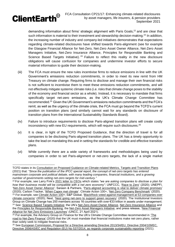

 $\overline{a}$ 

FCA Consultation CP21/17: Enhancing climate-related disclosures by asset managers, life insurers, & pension providers September 2021

demanding information about firms' strategic alignment with Paris Goals,<sup>22</sup> and are clear that such information is material to their investment and stewardship decision-making.<sup>23</sup> In addition, the increasing number of industry and company-led initiatives demonstrates that expectations regarding climate-related disclosures have shifted towards Paris-alignment (see for example the Glasgow Financial Alliance for Net-Zero, Net-Zero Asset Owner Alliance, Net-Zero Asset Managers Initiative, Net-Zero Insurance Alliance, Principles for Responsible Banking and Science Based Targets Initiative). <sup>24</sup> Failure to reflect this reality in the new disclosure obligations will cause confusion for companies and undermine investor efforts to secure material information to guide their decision-making.

- (iii) The FCA must ensure the new rules incentivise firms to reduce emissions in line with the UK Government's emissions reduction commitments, in order to meet its new remit from HM Treasury on climate change. Requiring firms to disclose and manage their own financial risks is not sufficient to incentivise them to meet these emissions reduction commitments, and will not effectively mitigate systemic climate risks (i.e. risks that climate change poses to the stability of the economy and financial sector as a whole). Instead, it is necessary to mandate that firms specifically target net-zero emissions, as the UK's Climate Change Committee has recommended.<sup>25</sup> Given the UK Government's emissions reduction commitments and the FCA's remit, as well as the urgency of the climate crisis, the FCA must go beyond the TCFD's current position on transition plans (and similarly cannot wait for any standards on disclosure of transition plans from the International Sustainability Standards Board).
- (iv) Failure to introduce requirements to disclose Paris-aligned transition plans will create costly inconsistency with new EU requirements, which will require such disclosures.<sup>26</sup>
- (v) It is clear, in light of the TCFD Proposed Guidance, that the direction of travel is for all companies to be disclosing Paris-aligned transition plans. The UK has a timely opportunity to take the lead on mandating this and in setting the standards for credible and effective transition plans.
- (vi) While currently there are a wide variety of frameworks and methodologies being used by companies in order to set Paris-alignment or net-zero targets, the lack of a single market

TCFD states in its [Consultation on Proposed Guidance on Climate-related Metrics,](https://assets.bbhub.io/company/sites/60/2021/05/2021-TCFD-Metrics_Targets_Guidance.pdf) Targets and Transition Plans (2021) that: *"Since the publication of the IPCC special report, the concept of net-zero targets has entered mainstream corporate and political debate, with many leading companies, financial institutions, and a growing number of governments setting net-zero targets for mid-century."*

<sup>22</sup> For example, see Larry Fink's [2021 letter to CEOs](https://www.blackrock.com/corporate/investor-relations/larry-fink-ceo-letter) which states *"we are asking companies to disclose a plan for how their business model will be compatible with a net zero economy"*; UNFCCC, ['Race to Zero'](https://unfccc.int/climate-action/race-to-zero-campaign) (2020); UNEPFI, ['Net-Zero Asset Owner Alliance';](https://www.unepfi.org/net-zero-alliance/) Sarasin & Partners, ['Paris-aligned accounting is vital to deliver climate promises'](https://sarasinandpartners.com/stewardship-post/paris-aligned-accounting-is-vital-to-deliver-climate-promises/)  (2020); Carbon Tracker, ['When Capex met climate'](https://carbontracker.org/when-capex-met-climate/). Climate Action 100+, ['Net-Zero Company Benchmark'](https://www.climateaction100.org/progress/net-zero-company-benchmark/) (2020). <sup>23</sup> For example, see [Climate Action 100+](https://climateaction100.wordpress.com/investors/); S&P Global, 'BlackRock voted against management at 53 companies over [climate concerns'](https://www.spglobal.com/marketintelligence/en/news-insights/latest-news-headlines/blackrock-voted-against-management-at-53-companies-over-climate-concerns-59426142) (2020); Nest, ['Nest going net-zero to support green recovery'](https://www.nestpensions.org.uk/schemeweb/nest/nestcorporation/news-press-and-policy/press-releases/Nest-going-net-zero-to-support-green-recovery.html) (2020). The Institutional Investors Group on Climate Change has 250 members across 16 countries with over €33 trillion in assets under management. <sup>24</sup> See: [Science Based Targets Initiative;](https://sciencebasedtargets.org/) the UN's [Net Zero Asset Owner Alliance,](https://www.unepfi.org/net-zero-alliance/) [Net Zero Insurance Alliance](https://www.unepfi.org/net-zero-insurance/) and the [Principles for Responsible Banking;](https://www.unepfi.org/banking/bankingprinciples/) the [Net-Zero Asset Managers Initiative;](https://www.netzeroassetmanagers.org/) and press release, ['New Financial](https://unfccc.int/news/new-financial-alliance-for-net-zero-emissions-launches)  [Alliance for Net Zero Emissions Launches'](https://unfccc.int/news/new-financial-alliance-for-net-zero-emissions-launches) (UNCC, 21 April 2021).

 $25$  For example, the Advisory Group on Finance for the UK's Climate Change Committee recommended in 'The [road to Net-Zero Finance'](https://www.theccc.org.uk/publication/the-road-to-net-zero-finance-sixth-carbon-budget-advisory-group/) (2020) that the UK must mandate that financial institutions make net-zero plans, rather than solely seek to mitigate financial risks.

<sup>&</sup>lt;sup>26</sup> See European Commission, Proposal for a Directive amending Directive 2013/34/EU, Directive 2004/109/EC, [Directive 2006/43/EC and Regulation \(EU\) No 537/2014, as regards corporate sustainability reporting](https://eur-lex.europa.eu/legal-content/EN/TXT/PDF/?uri=CELEX:52021PC0189&from=EN) (2021).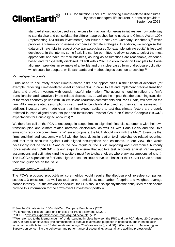

standard should not be used as an excuse for inaction. Numerous initiatives are now underway to standardise and consolidate the different approaches being used, and Climate Action 100+ (representing \$54 trillion investments) has issued a Net-Zero Company Benchmark,<sup>27</sup> which provides a framework to assess companies' climate strategies. In addition, we recognise that data on climate risks in respect of certain asset classes (for example, private equity) is less well developed. In the interim, some flexibility can be permitted to allow issuers to select the most appropriate approach for their business, as long as assumptions are reasonable, evidencebased and transparently disclosed. ClientEarth's 2020 Position Paper on Principles for Parisalignment provides an example of a flexible and principles-based form of disclosure obligation which could be adopted, while standards and methodologies continue to develop.<sup>28</sup>

#### *Paris-aligned accounts*

Firms need to accurately reflect climate-related risks and opportunities in their financial accounts (for example, reflecting climate-related asset impairments), in order to set and implement credible transition plans and provide investors with decision-useful information. The accounts need to reflect the firm's transition plan and narrative climate-related disclosures, as well as the impact that the upcoming transition of the wider economy (in line with UK emissions reduction commitments and Paris Goals) will have on the firm. All climate-related assumptions used need to be clearly disclosed, so they can be assessed. In addition, investors have made clear that they expect auditors to test that climate factors are properly reflected in Paris-aligned accounts (see the Institutional Investor Group on Climate Change's ("**IIGCC**") expectations for Paris-aligned accounts).<sup>29</sup>

We therefore call on the FCA to encourage in-scope firms to align their financial statements with their own transition plan and climate-related narrative disclosures, as well as with Paris Goals and the UK's emissions reduction commitments. Where appropriate, the FCA should work with the FRC<sup>30</sup> to ensure that firms, and their auditors, comply in full with their legal duties in relation to climate change-related reporting, and test their accounts against Paris-aligned assumptions and estimates. In our view, this would necessarily include the FRC and/or the new regulator, the Audit, Reporting and Governance Authority (once established ("**ARGA**")), taking steps to ensure that auditors test accounts against Paris-aligned assumptions and estimates (and the auditors must flag to shareholders where any assumptions fall short). The IIGCC's expectations for Paris-aligned accounts could serve as a basis for the FCA or FRC to produce their own guidance on the issue.

#### *Investee company emissions*

The FCA's proposed product-level core-metrics would require the disclosure of investee companies' scopes 1-3 emissions, as well as total carbon emissions, total carbon footprint and weighted average carbon intensity. For the avoidance of doubt, the FCA should also specify that the entity-level report should provide this information for the firm's overall investment portfolio.

<sup>&</sup>lt;sup>27</sup> See the Climate Action 100+ [Net-Zero Company Benchmark](https://www.climateaction100.org/wp-content/uploads/2021/03/Climate-Action-100-Benchmark-Indicators-FINAL-3.12.pdf) (2021).

<sup>28</sup> ClientEarth, ['Position Paper on Principles for Paris-alignment'](https://www.clientearth.org/media/40omeroa/2020-10-16-principles-for-paris-alignment-position-paper-ce-en.pdf) (2020)..

<sup>29</sup> IIGCC, ['Investor expectations for Paris-aligned accounts'](https://www.iigcc.org/resource/investor-expectations-for-paris-aligned-accounts/) (2020).

<sup>&</sup>lt;sup>30</sup> We refer you to the Memorandum of Understanding in place between the FRC and the FCA, dated 20 December 2017, in particular clauses 5 (the commitment to pursue its aims and purposes in good faith, and intent to act in accordance with its terms), 13 (Information-sharing), 25 (Co-operation), and 30(c) (Cooperation in Monitoring and Supervision concerning the behaviour and performance of accounting, actuarial, and auditing professionals).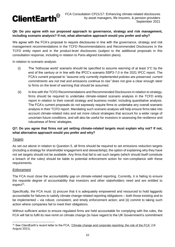

#### **Q6: Do you agree with our proposed approach to governance, strategy and risk management, including scenario analysis? If not, what alternative approach would you prefer and why?**

We agree with the FCA's proposal to require disclosures in line with the governance, strategy and risk management recommendations in the TCFD Recommendations and Recommended Disclosures in the TCFD entity report and in the product-level disclosures (subject to the additional proposals in this consultation response, including in relation to Paris-aligned transition plans).

In relation to scenario analysis:

- (i) The 'hothouse world' scenario should be specified to assume warming of at least  $3^{\circ}$ C by the end of the century or in line with the IPCC's scenario SSP3-7.0 in the 2021 IPCC report. The FCA's current proposal to *"assume only currently implemented policies are preserved, current commitments are not met and emissions continue to rise"* does not give a clear enough steer to firms on the level of warming that should be assumed.
- (ii) In line with the TCFD Recommendations and Recommended Disclosures in relation to strategy, firms should be required to undertake climate-related scenario analysis in the TCFD entity report in relation to their overall strategy and business model, including quantitative analysis. The FCA's current proposals do not expressly require firms to undertake any overall scenario analysis in their TCFD report. Mandating such scenario analysis will help ensure firms take into account climate-related risks and set more robust strategies that account for a wider range of uncertain future conditions, and will also be useful for investors in assessing the resilience and robustness of firms' strategies.

#### **Q7: Do you agree that firms not yet setting climate-related targets must explain why not? If not, what alternative approach would you prefer and why?**

#### *Targets*

As set out above in relation to Question 5, all firms should be required to set emissions reduction targets (including a strategy for shareholder engagement and stewardship); the option of explaining why they have not set targets should not be available. Any firms that fail to set such targets (which should itself constitute a breach of the rules) should be liable to potential enforcement action for non-compliance with these requirements.

#### *Enforcement*

The FCA must close the accountability gap on climate-related reporting. Currently, it is failing to ensure the requisite degree of accountability that investors and other stakeholders need and are entitled to expect<sup>31</sup>.

Specifically, the FCA must: (i) procure that it is adequately empowered and resourced to hold laggards accountable for failures to satisfy climate change-related reporting obligations – both those existing and to be implemented – via robust, consistent, and timely enforcement action; and (ii) commit to taking such action where companies fail to meet their obligations.

Without sufficient action to ensure regulated firms are held accountable for complying with the rules, the FCA will fail to fulfil its new remit on climate change (to have regard to the UK Government's commitment

<sup>31</sup> See ClientEarth's recent letter to the FCA, ['Climate change and corporate reporting: the role of the FCA'](https://www.clientearth.org/latest/documents/climate-change-and-corporate-reporting-the-role-of-the-fca/) (18 August 2021).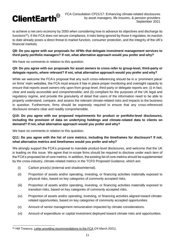

to achieve a net-zero economy by 2050 when considering how to advance its objectives and discharge its functions<sup>32</sup>). If the FCA does not secure compliance, it risks being ignored by those it regulates; its inaction to date already poses a direct threat to market function, consumer protection, and the integrity of the UK's financial markets.

#### **Q8: Do you agree with our proposals for AFMs that delegate investment management services to third-party portfolio managers? If not, what alternative approach would you prefer and why?**

We have no comments in relation to this question.

#### **Q9: Do you agree with our proposals for asset owners to cross-refer to group-level, third-party or delegate reports, where relevant? If not, what alternative approach would you prefer and why?**

While we welcome the FCA's proposal that any such cross-referencing should be in a 'prominent place' on firms' main websites, the FCA must ensure it has in place proper monitoring and oversight capacity to ensure that reports asset owners rely upon from group-level, third-party or delegate reports are: (i) in fact, clear and easily accessible and comprehensible; and (ii) compliant for the purposes of the UK legal and regulatory regime, and provide the granularity of detail that users of the information need to be able to properly understand, compare, and assess the relevant climate-related risks and impacts to the business in question. Furthermore, firms should be expressly required to ensure that any cross-referenced disclosure remains clear and readily comprehensible.

#### **Q10: Do you agree with our proposed requirements for product or portfolio-level disclosures, including the provision of data on underlying holdings and climate-related data to clients on demand? If not, what alternative approach would you prefer and why?**

We have no comments in relation to this question.

#### **Q11: Do you agree with the list of core metrics, including the timeframes for disclosure? If not, what alternative metrics and timeframes would you prefer and why?**

We strongly support the FCA's proposal to mandate product-level disclosures, and welcome that the UK is leading on this issue. We agree that in-scope firms should be required to disclose under each item of the FCA's proposed list of core metrics. In addition, the existing list of core metrics should be supplemented by the cross-industry, climate-related metrics in the TCFD Proposed Guidance, which are:

- (i) Carbon price(s) (external and shadow/internal).
- (ii) Proportion of assets and/or operating, investing, or financing activities materially exposed to physical risks, based on key categories of commonly accepted risks.
- (iii) Proportion of assets and/or operating, investing, or financing activities materially exposed to transition risks, based on key categories of commonly accepted risks.
- (iv) Proportion of assets and/or operating, investing, or financing activities aligned toward climaterelated opportunities, based on key categories of commonly accepted opportunities.
- (v) Amount of senior management remuneration impacted by climate considerations.
- (vi) Amount of expenditure or capital investment deployed toward climate risks and opportunities.

<sup>&</sup>lt;sup>32</sup> HM Treasury, [Letter providing recommendations to the FCA](https://assets.publishing.service.gov.uk/government/uploads/system/uploads/attachment_data/file/972445/CX_Letter_-_FCA_Remit_230321.pdf) (24 March 2021).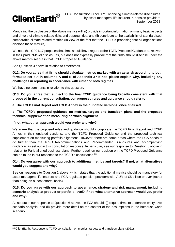

Mandating the disclosure of the above metrics will: (i) provide important information on many basic aspects and drivers of climate-related risks and opportunities; and (ii) contribute to the availability of standardised, comparable climate-related metrics (in view of the fact that the TCFD is proposing that all organisations disclose these metrics).

We note that CP21.17 proposes that firms should have regard to the TCFD Proposed Guidance as relevant in their product-level disclosures, but does not expressly provide that the firms should disclose under the above metrics set out in that TCFD Proposed Guidance.

See Question 3 above in relation to timeframes.

**Q12: Do you agree that firms should calculate metrics marked with an asterisk according to both formulas set out in columns A and B of Appendix 3? If not, please explain why, including any challenges in reporting in accordance with either or both regimes.**

We have no comments in relation to this question.

**Q13: Do you agree that, subject to the final TCFD guidance being broadly consistent with that proposed in the current consultation, our proposed rules and guidance should refer to:** 

**a. The TCFD Final Report and TCFD Annex in their updated versions, once finalised**

**b. The TCFD's proposed guidance on metrics, targets and transition plans and the proposed technical supplement on measuring portfolio alignment** 

#### **If not, what other approach would you prefer and why?**

We agree that the proposed rules and guidance should incorporate the TCFD Final Report and TCFD Annex in their updated versions, and the TCFD Proposed Guidance and the proposed technical supplement on measuring portfolio alignment. However, there are some areas where the FCA needs to go further than the TCFD Recommendations and Recommended Disclosures and accompanying guidance, as set out in this consultation response. In particular, see our response to Question 5 above in relation to Paris-aligned business plans. Further detail on our position on the TCFD Proposed Guidance can be found in our response to the TCFD's consultation.<sup>33</sup>

#### **Q14: Do you agree with our approach to additional metrics and targets? If not, what alternatives would you suggest and why?**

See our response to Question 1 above, which states that the additional metrics should be mandatory for asset managers, life insurers and FCA regulated pension providers with AUM of £5 billion or over (rather than being on a 'best efforts' basis).

#### **Q15: Do you agree with our approach to governance, strategy and risk management, including scenario analysis at product or portfolio-level? If not, what alternative approach would you prefer and why?**

As set out in our response to Question 6 above, the FCA should: (i) require firms to undertake entity-level scenario analysis; and (ii) provide more detail on the content of the assumptions in the hothouse world scenario.

<sup>33</sup> ClientEarth, [Response to TCFD consultation on metrics, targets and transition plans](https://www.clientearth.org/latest/documents/clientearth-response-to-tcfd-consultation-on-metrics-targets-and-transition-plans/) (2021).